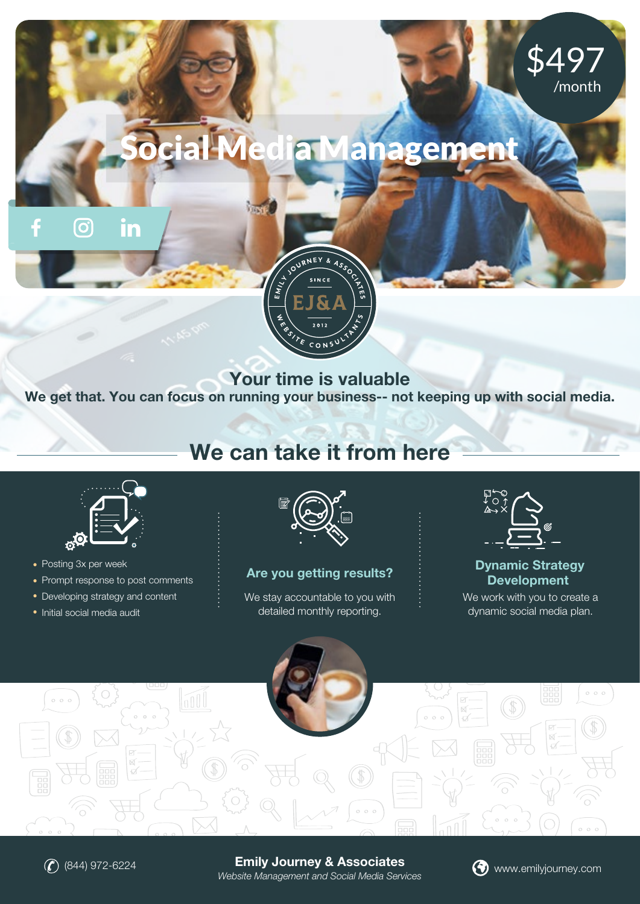## cial Media Managemen



Your time is valuable

We get that. You can focus on running your business-- not keeping up with social media.

## We can take it from here



• Posting 3x per week

<u>(ဝ)</u>

in

- Prompt response to post comments
- Developing strategy and content
- Initial social media audit



Are you getting results?

We stay accountable to you with detailed monthly reporting.



\$497

/month

Dynamic Strategy Development

We work with you to create a dynamic social media plan.





Emily Journey & Associates *Website Management and Social Media Services*  $\bigcirc$  (844) 972-6224 **Emily Journey & Associates**